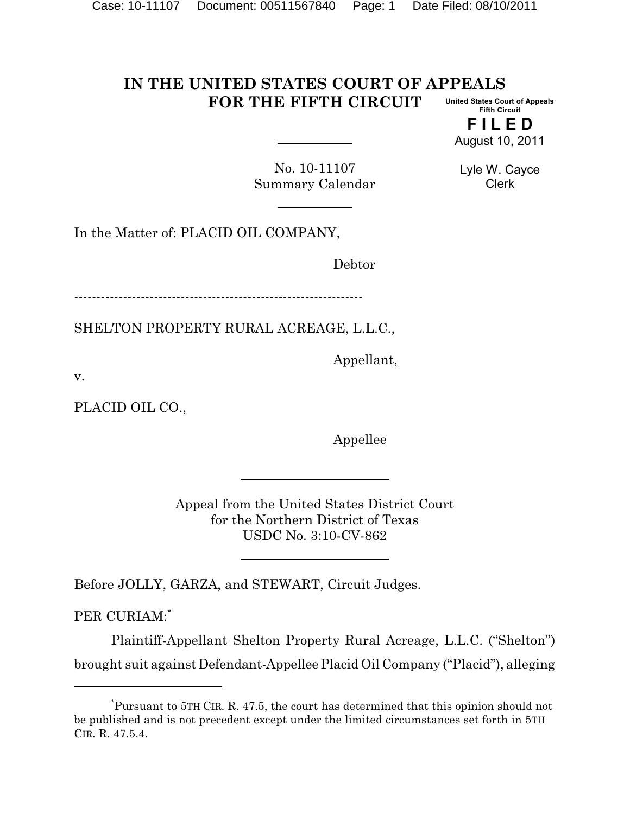#### **IN THE UNITED STATES COURT OF APPEALS FOR THE FIFTH CIRCUIT United States Court of Appeals Fifth Circuit**

**F I L E D** August 10, 2011

No. 10-11107 Summary Calendar

Lyle W. Cayce Clerk

In the Matter of: PLACID OIL COMPANY,

Debtor

-----------------------------------------------------------------

SHELTON PROPERTY RURAL ACREAGE, L.L.C.,

Appellant,

v.

PLACID OIL CO.,

Appellee

Appeal from the United States District Court for the Northern District of Texas USDC No. 3:10-CV-862

Before JOLLY, GARZA, and STEWART, Circuit Judges.

PER CURIAM:\*

Plaintiff-Appellant Shelton Property Rural Acreage, L.L.C. ("Shelton") brought suit againstDefendant-AppelleePlacid Oil Company ("Placid"), alleging

Pursuant to 5TH CIR. R. 47.5, the court has determined that this opinion should not \* be published and is not precedent except under the limited circumstances set forth in 5TH CIR. R. 47.5.4.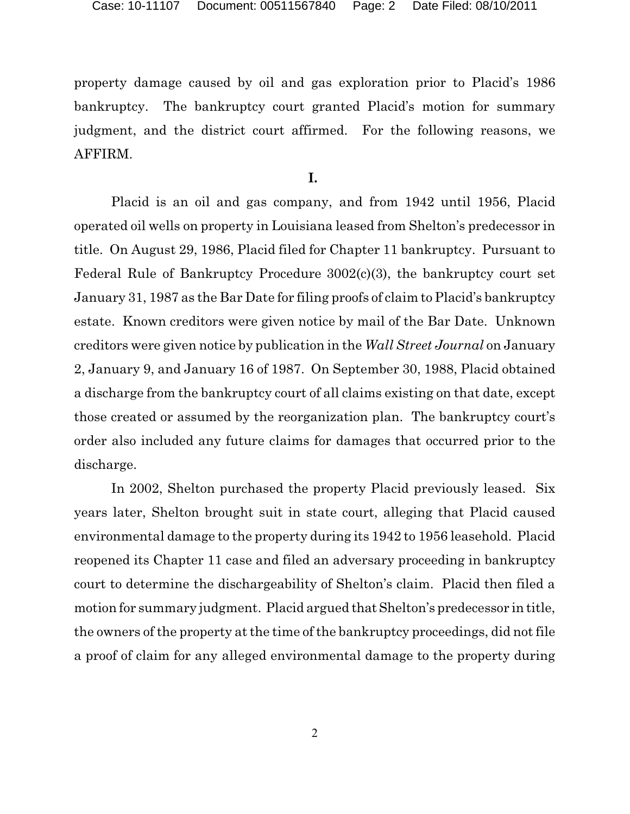property damage caused by oil and gas exploration prior to Placid's 1986 bankruptcy. The bankruptcy court granted Placid's motion for summary judgment, and the district court affirmed. For the following reasons, we AFFIRM.

**I.** 

Placid is an oil and gas company, and from 1942 until 1956, Placid operated oil wells on property in Louisiana leased from Shelton's predecessor in title. On August 29, 1986, Placid filed for Chapter 11 bankruptcy. Pursuant to Federal Rule of Bankruptcy Procedure 3002(c)(3), the bankruptcy court set January 31, 1987 as the Bar Date for filing proofs of claim to Placid's bankruptcy estate. Known creditors were given notice by mail of the Bar Date. Unknown creditors were given notice by publication in the *Wall Street Journal* on January 2, January 9, and January 16 of 1987. On September 30, 1988, Placid obtained a discharge from the bankruptcy court of all claims existing on that date, except those created or assumed by the reorganization plan. The bankruptcy court's order also included any future claims for damages that occurred prior to the discharge.

In 2002, Shelton purchased the property Placid previously leased. Six years later, Shelton brought suit in state court, alleging that Placid caused environmental damage to the property during its 1942 to 1956 leasehold. Placid reopened its Chapter 11 case and filed an adversary proceeding in bankruptcy court to determine the dischargeability of Shelton's claim. Placid then filed a motion for summary judgment. Placid argued that Shelton's predecessor in title, the owners of the property at the time of the bankruptcy proceedings, did not file a proof of claim for any alleged environmental damage to the property during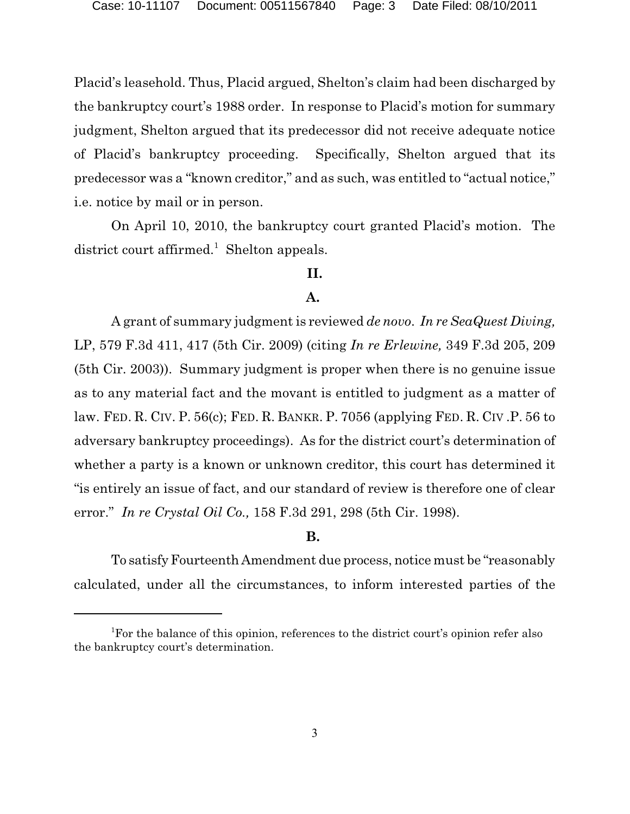Placid's leasehold. Thus, Placid argued, Shelton's claim had been discharged by the bankruptcy court's 1988 order. In response to Placid's motion for summary judgment, Shelton argued that its predecessor did not receive adequate notice of Placid's bankruptcy proceeding. Specifically, Shelton argued that its predecessor was a "known creditor," and as such, was entitled to "actual notice," i.e. notice by mail or in person.

On April 10, 2010, the bankruptcy court granted Placid's motion. The district court affirmed.<sup>1</sup> Shelton appeals.

## **II.**

# **A.**

A grant of summary judgment is reviewed *de novo*. *In re SeaQuest Diving,* LP, 579 F.3d 411, 417 (5th Cir. 2009) (citing *In re Erlewine,* 349 F.3d 205, 209 (5th Cir. 2003)). Summary judgment is proper when there is no genuine issue as to any material fact and the movant is entitled to judgment as a matter of law. FED. R. CIV. P. 56(c); FED. R. BANKR. P. 7056 (applying FED. R. CIV .P. 56 to adversary bankruptcy proceedings). As for the district court's determination of whether a party is a known or unknown creditor, this court has determined it "is entirely an issue of fact, and our standard of review is therefore one of clear error." *In re Crystal Oil Co.,* 158 F.3d 291, 298 (5th Cir. 1998).

## **B.**

To satisfyFourteenth Amendment due process, notice must be "reasonably calculated, under all the circumstances, to inform interested parties of the

<sup>&</sup>lt;sup>1</sup>For the balance of this opinion, references to the district court's opinion refer also the bankruptcy court's determination.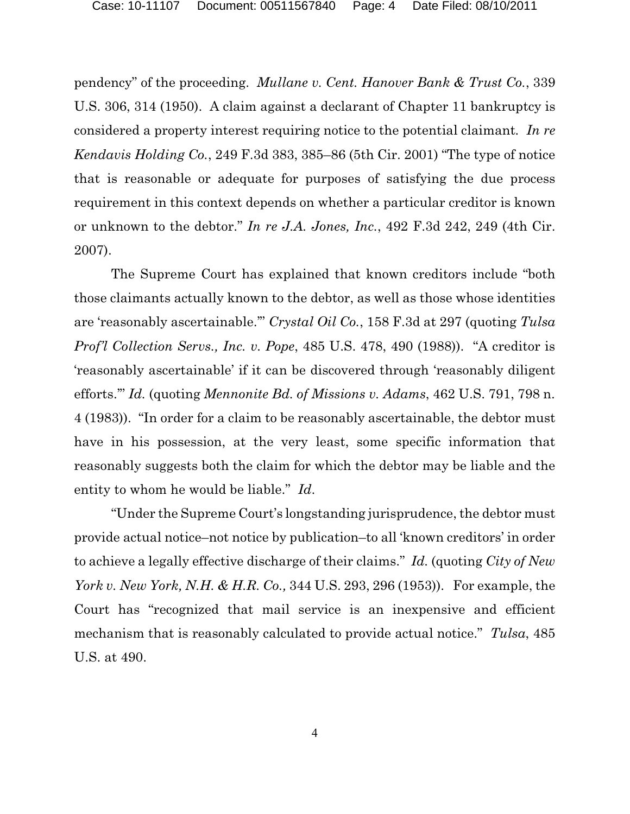pendency" of the proceeding. *Mullane v. Cent. Hanover Bank & Trust Co.*, 339 U.S. 306, 314 (1950). A claim against a declarant of Chapter 11 bankruptcy is considered a property interest requiring notice to the potential claimant*. In re Kendavis Holding Co.*, 249 F.3d 383, 385–86 (5th Cir. 2001) "The type of notice that is reasonable or adequate for purposes of satisfying the due process requirement in this context depends on whether a particular creditor is known or unknown to the debtor." *In re J.A. Jones, Inc.*, 492 F.3d 242, 249 (4th Cir. 2007).

The Supreme Court has explained that known creditors include "both those claimants actually known to the debtor, as well as those whose identities are 'reasonably ascertainable.'" *Crystal Oil Co.*, 158 F.3d at 297 (quoting *Tulsa Prof'l Collection Servs., Inc. v. Pope*, 485 U.S. 478, 490 (1988)). "A creditor is 'reasonably ascertainable' if it can be discovered through 'reasonably diligent efforts.'" *Id.* (quoting *Mennonite Bd. of Missions v. Adams*, 462 U.S. 791, 798 n. 4 (1983)). "In order for a claim to be reasonably ascertainable, the debtor must have in his possession, at the very least, some specific information that reasonably suggests both the claim for which the debtor may be liable and the entity to whom he would be liable." *Id*.

"Under the Supreme Court's longstanding jurisprudence, the debtor must provide actual notice–not notice by publication–to all 'known creditors' in order to achieve a legally effective discharge of their claims." *Id.* (quoting *City of New York v. New York, N.H. & H.R. Co.,* 344 U.S. 293, 296 (1953)). For example, the Court has "recognized that mail service is an inexpensive and efficient mechanism that is reasonably calculated to provide actual notice." *Tulsa*, 485 U.S. at 490.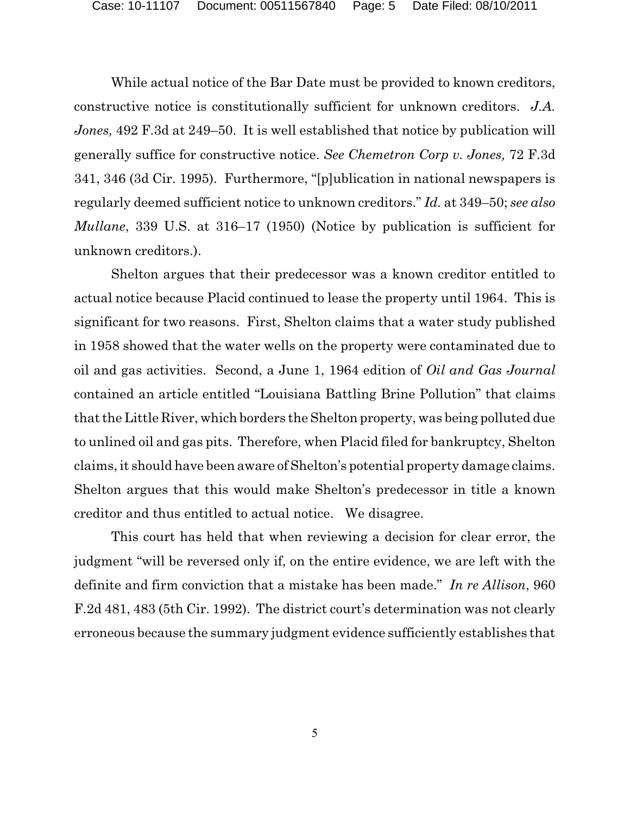While actual notice of the Bar Date must be provided to known creditors, constructive notice is constitutionally sufficient for unknown creditors. *J.A. Jones,* 492 F.3d at 249–50. It is well established that notice by publication will generally suffice for constructive notice. *See Chemetron Corp v. Jones,* 72 F.3d 341, 346 (3d Cir. 1995). Furthermore, "[p]ublication in national newspapers is regularly deemed sufficient notice to unknown creditors." *Id.* at 349–50; *see also Mullane*, 339 U.S. at 316–17 (1950) (Notice by publication is sufficient for unknown creditors.).

Shelton argues that their predecessor was a known creditor entitled to actual notice because Placid continued to lease the property until 1964. This is significant for two reasons. First, Shelton claims that a water study published in 1958 showed that the water wells on the property were contaminated due to oil and gas activities. Second, a June 1, 1964 edition of *Oil and Gas Journal* contained an article entitled "Louisiana Battling Brine Pollution" that claims that the Little River, which borders the Shelton property, was being polluted due to unlined oil and gas pits. Therefore, when Placid filed for bankruptcy, Shelton claims, it should have been aware of Shelton's potential property damage claims. Shelton argues that this would make Shelton's predecessor in title a known creditor and thus entitled to actual notice. We disagree.

This court has held that when reviewing a decision for clear error, the judgment "will be reversed only if, on the entire evidence, we are left with the definite and firm conviction that a mistake has been made." *In re Allison*, 960 F.2d 481, 483 (5th Cir. 1992). The district court's determination was not clearly erroneous because the summary judgment evidence sufficiently establishes that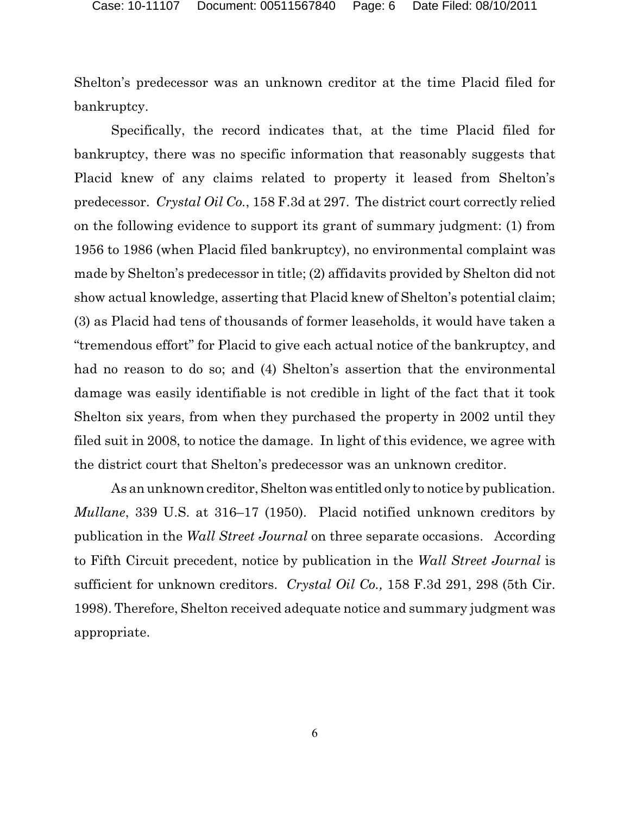Shelton's predecessor was an unknown creditor at the time Placid filed for bankruptcy.

Specifically, the record indicates that, at the time Placid filed for bankruptcy, there was no specific information that reasonably suggests that Placid knew of any claims related to property it leased from Shelton's predecessor. *Crystal Oil Co.*, 158 F.3d at 297. The district court correctly relied on the following evidence to support its grant of summary judgment: (1) from 1956 to 1986 (when Placid filed bankruptcy), no environmental complaint was made by Shelton's predecessor in title; (2) affidavits provided by Shelton did not show actual knowledge, asserting that Placid knew of Shelton's potential claim; (3) as Placid had tens of thousands of former leaseholds, it would have taken a "tremendous effort" for Placid to give each actual notice of the bankruptcy, and had no reason to do so; and (4) Shelton's assertion that the environmental damage was easily identifiable is not credible in light of the fact that it took Shelton six years, from when they purchased the property in 2002 until they filed suit in 2008, to notice the damage. In light of this evidence, we agree with the district court that Shelton's predecessor was an unknown creditor.

As an unknown creditor, Shelton was entitled only to notice by publication. *Mullane*, 339 U.S. at 316–17 (1950). Placid notified unknown creditors by publication in the *Wall Street Journal* on three separate occasions. According to Fifth Circuit precedent, notice by publication in the *Wall Street Journal* is sufficient for unknown creditors. *Crystal Oil Co.,* 158 F.3d 291, 298 (5th Cir. 1998). Therefore, Shelton received adequate notice and summary judgment was appropriate.